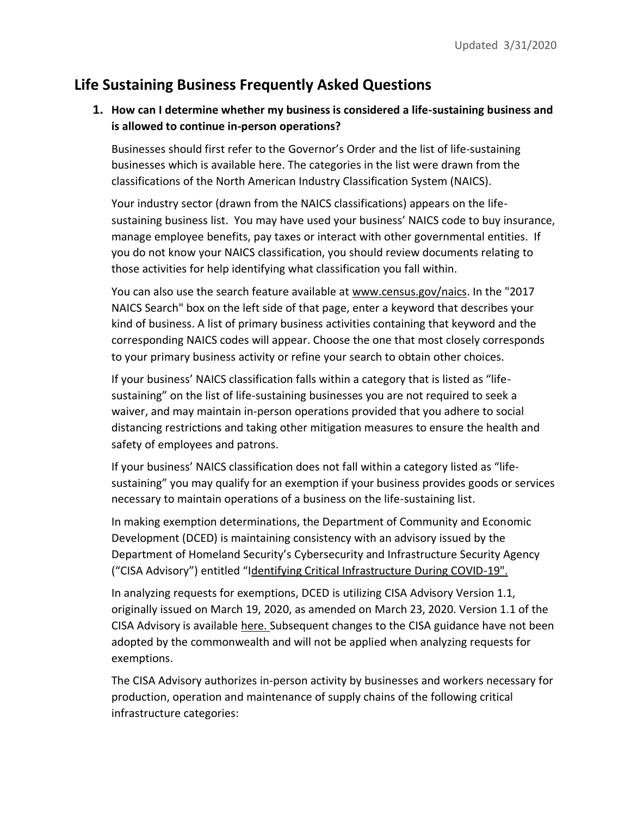# **Life Sustaining Business Frequently Asked Questions**

## **1. How can I determine whether my business is considered a life-sustaining business and is allowed to continue in-person operations?**

Businesses should first refer to the G[overnor's Order](https://www.governor.pa.gov/wp-content/uploads/2020/03/20200319-TWW-COVID-19-business-closure-order.pdf) and the list of life-sustaining businesses which is available [here.](https://www.governor.pa.gov/wp-content/uploads/2020/03/20200319-Life-Sustaining-Business.pdf) The categories in the list were drawn from the classifications of the North American Industry Classification System (NAICS).

Your industry sector (drawn from the NAICS classifications) appears on the lifesustaining business list. You may have used your business' NAICS code to buy insurance, manage employee benefits, pay taxes or interact with other governmental entities. If you do not know your NAICS classification, you should review documents relating to those activities for help identifying what classification you fall within.

You can also use the search feature available at www.census.gov/naics. In the "2017 NAICS Search" box on the left side of that page, enter a keyword that describes your kind of business. A list of primary business activities containing that keyword and the corresponding NAICS codes will appear. Choose the one that most closely corresponds to your primary business activity or refine your search to obtain other choices.

If your business' NAICS classification falls within a category that is listed as "lifesustaining" on the list of life-sustaining businesses you are not required to seek a waiver, and may maintain in-person operations provided that you adhere to social distancing restrictions and taking other mitigation measures to ensure the health and safety of employees and patrons.

If your business' NAICS classification does not fall within a category listed as "lifesustaining" you may qualify for an exemption if your business provides goods or services necessary to maintain operations of a business on the life-sustaining list.

In making exemption determinations, the Department of Community and Economic Development (DCED) is maintaining consistency with an advisory issued by the Department of Homeland Security's Cybersecurity and Infrastructure Security Agency ("CISA Advisory") entitled "I[dentifying Critical Infrastructure During COVID-19"](https://www.cisa.gov/sites/default/files/publications/CISA_Guidance_on_the_Essential_Critical_Infrastructure_Workforce_508C_0.pdf).

In analyzing requests for exemptions, DCED is utilizing CISA Advisory Version 1.1, originally issued on March 19, 2020, as amended on March 23, 2020. Version 1.1 of the CISA Advisory is availabl[e here.](https://www.cisa.gov/sites/default/files/publications/CISA_Guidance_on_the_Essential_Critical_Infrastructure_Workforce_508C_0.pdf) Subsequent changes to the CISA guidance have not been adopted by the commonwealth and will not be applied when analyzing requests for exemptions.

The CISA Advisory authorizes in-person activity by businesses and workers necessary for production, operation and maintenance of supply chains of the following critical infrastructure categories: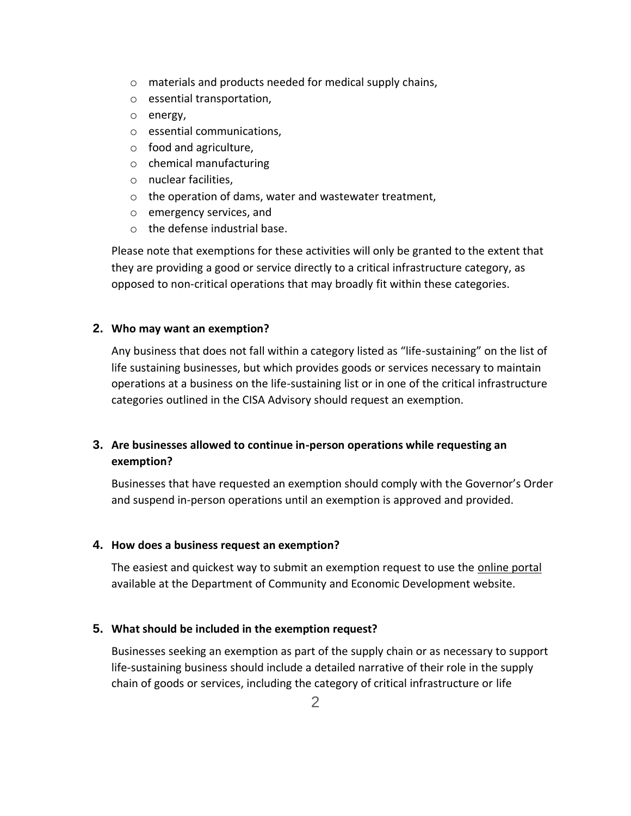- o materials and products needed for medical supply chains,
- o essential transportation,
- o energy,
- o essential communications,
- o food and agriculture,
- o chemical manufacturing
- o nuclear facilities,
- o the operation of dams, water and wastewater treatment,
- o emergency services, and
- o the defense industrial base.

Please note that exemptions for these activities will only be granted to the extent that they are providing a good or service directly to a critical infrastructure category, as opposed to non-critical operations that may broadly fit within these categories.

### **2. Who may want an exemption?**

Any business that does not fall within a category listed as "life-sustaining" on the list of life sustaining businesses, but which provides goods or services necessary to maintain operations at a business on the life-sustaining list or in one of the critical infrastructure categories outlined in the CISA Advisory should request an exemption.

## **3. Are businesses allowed to continue in-person operations while requesting an exemption?**

Businesses that have requested an exemption should comply with the Governor's Order and suspend in-person operations until an exemption is approved and provided.

### **4. How does a business request an exemption?**

The easiest and quickest way to submit an exemption request to use the [online portal](https://expressforms.pa.gov/apps/pa/DCED/Waiver-process-keeping-physical-locations-open) available at the Department of Community and Economic Development website.

### **5. What should be included in the exemption request?**

Businesses seeking an exemption as part of the supply chain or as necessary to support life-sustaining business should include a detailed narrative of their role in the supply chain of goods or services, including the category of critical infrastructure or life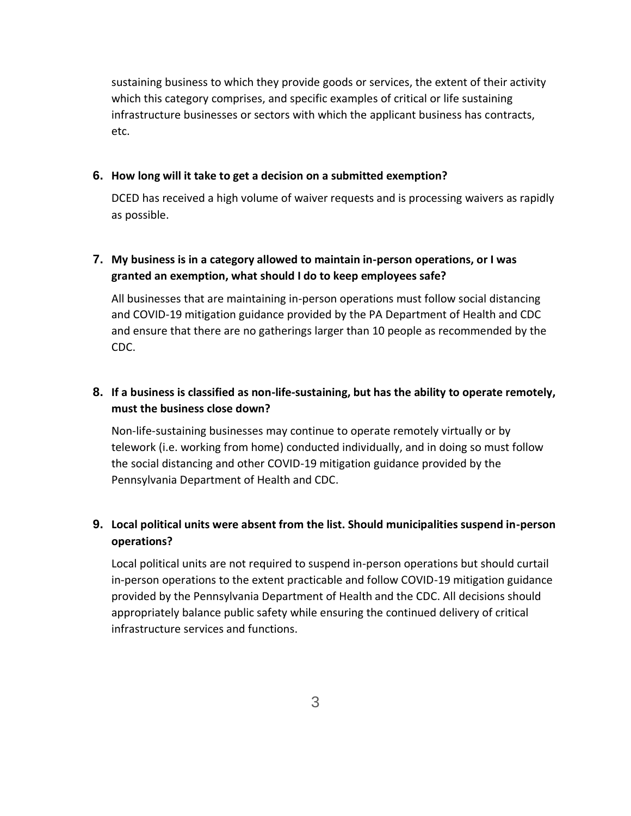sustaining business to which they provide goods or services, the extent of their activity which this category comprises, and specific examples of critical or life sustaining infrastructure businesses or sectors with which the applicant business has contracts, etc.

### **6. How long will it take to get a decision on a submitted exemption?**

DCED has received a high volume of waiver requests and is processing waivers as rapidly as possible.

## **7. My business is in a category allowed to maintain in-person operations, or I was granted an exemption, what should I do to keep employees safe?**

All businesses that are maintaining in-person operations must follow social distancing and COVID-19 mitigation guidance provided by the PA Department of Health and CDC and ensure that there are no gatherings larger than 10 people as recommended by the CDC.

## **8. If a business is classified as non-life-sustaining, but has the ability to operate remotely, must the business close down?**

Non-life-sustaining businesses may continue to operate remotely virtually or by telework (i.e. working from home) conducted individually, and in doing so must follow the social distancing and other COVID-19 mitigation guidance provided by the Pennsylvania Department of Health and CDC.

## **9. Local political units were absent from the list. Should municipalities suspend in-person operations?**

Local political units are not required to suspend in-person operations but should curtail in-person operations to the extent practicable and follow COVID-19 mitigation guidance provided by the Pennsylvania Department of Health and the CDC. All decisions should appropriately balance public safety while ensuring the continued delivery of critical infrastructure services and functions.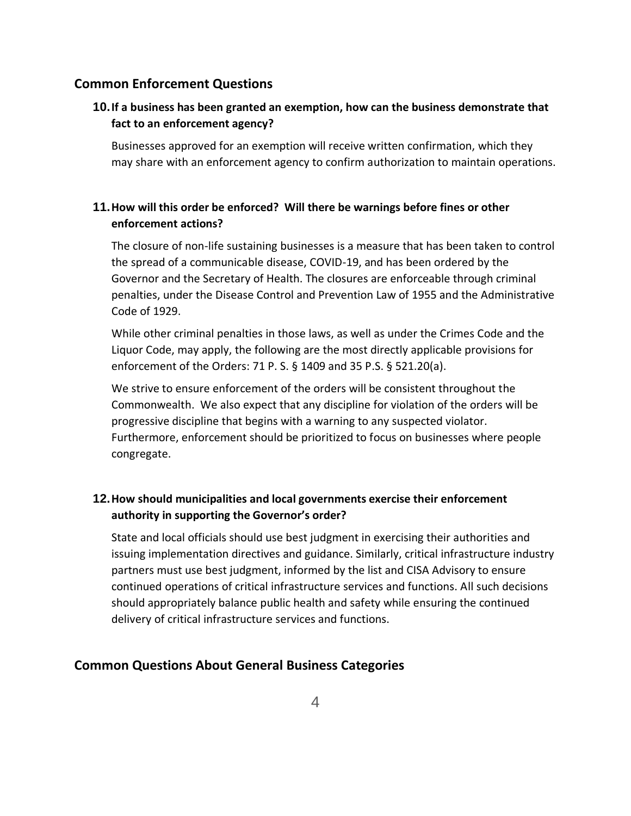## **Common Enforcement Questions**

## **10.If a business has been granted an exemption, how can the business demonstrate that fact to an enforcement agency?**

Businesses approved for an exemption will receive written confirmation, which they may share with an enforcement agency to confirm authorization to maintain operations.

## **11.How will this order be enforced? Will there be warnings before fines or other enforcement actions?**

The closure of non-life sustaining businesses is a measure that has been taken to control the spread of a communicable disease, COVID-19, and has been ordered by the Governor and the Secretary of Health. The closures are enforceable through criminal penalties, under the Disease Control and Prevention Law of 1955 and the Administrative Code of 1929.

While other criminal penalties in those laws, as well as under the Crimes Code and the Liquor Code, may apply, the following are the most directly applicable provisions for enforcement of the Orders: 71 P. S. § 1409 and 35 P.S. § 521.20(a).

We strive to ensure enforcement of the orders will be consistent throughout the Commonwealth. We also expect that any discipline for violation of the orders will be progressive discipline that begins with a warning to any suspected violator. Furthermore, enforcement should be prioritized to focus on businesses where people congregate.

## **12.How should municipalities and local governments exercise their enforcement authority in supporting the Governor's order?**

State and local officials should use best judgment in exercising their authorities and issuing implementation directives and guidance. Similarly, critical infrastructure industry partners must use best judgment, informed by the list and CISA Advisory to ensure continued operations of critical infrastructure services and functions. All such decisions should appropriately balance public health and safety while ensuring the continued delivery of critical infrastructure services and functions.

## **Common Questions About General Business Categories**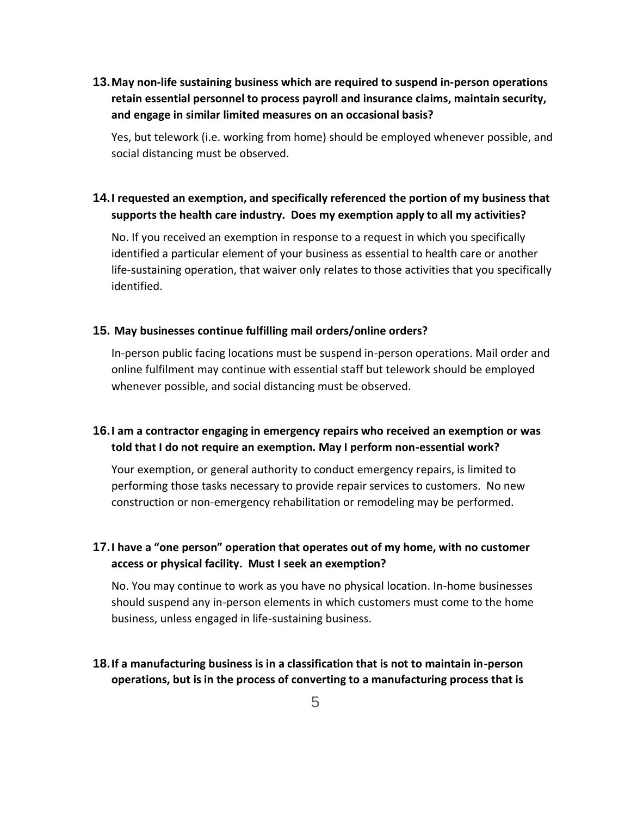**13.May non-life sustaining business which are required to suspend in-person operations retain essential personnel to process payroll and insurance claims, maintain security, and engage in similar limited measures on an occasional basis?**

Yes, but telework (i.e. working from home) should be employed whenever possible, and social distancing must be observed.

## **14.I requested an exemption, and specifically referenced the portion of my business that supports the health care industry. Does my exemption apply to all my activities?**

No. If you received an exemption in response to a request in which you specifically identified a particular element of your business as essential to health care or another life-sustaining operation, that waiver only relates to those activities that you specifically identified.

### **15. May businesses continue fulfilling mail orders/online orders?**

In-person public facing locations must be suspend in-person operations. Mail order and online fulfilment may continue with essential staff but telework should be employed whenever possible, and social distancing must be observed.

## **16.I am a contractor engaging in emergency repairs who received an exemption or was told that I do not require an exemption. May I perform non-essential work?**

Your exemption, or general authority to conduct emergency repairs, is limited to performing those tasks necessary to provide repair services to customers. No new construction or non-emergency rehabilitation or remodeling may be performed.

## **17.I have a "one person" operation that operates out of my home, with no customer access or physical facility. Must I seek an exemption?**

No. You may continue to work as you have no physical location. In-home businesses should suspend any in-person elements in which customers must come to the home business, unless engaged in life-sustaining business.

**18.If a manufacturing business is in a classification that is not to maintain in-person operations, but is in the process of converting to a manufacturing process that is**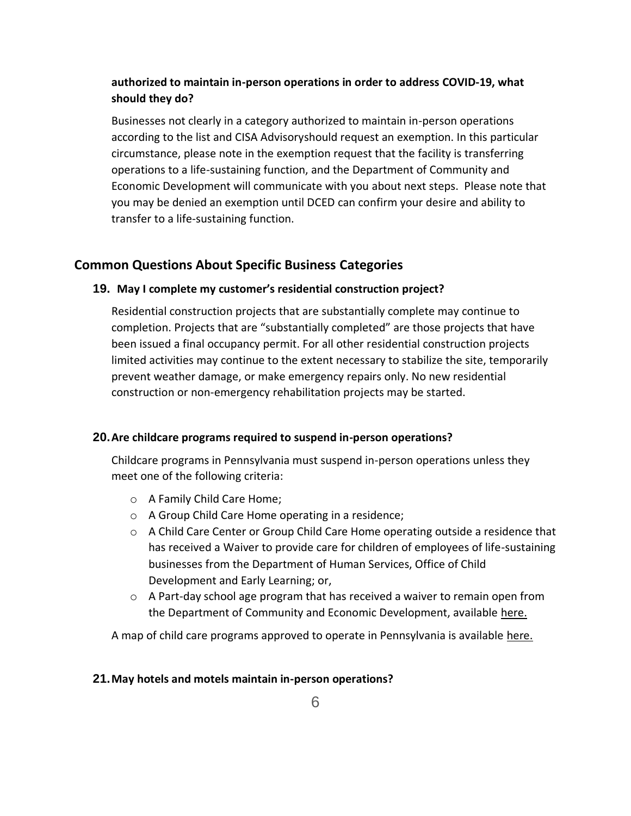## **authorized to maintain in-person operations in order to address COVID-19, what should they do?**

Businesses not clearly in a category authorized to maintain in-person operations according to the list and [CISA Advisorys](https://www.cisa.gov/sites/default/files/publications/CISA_Guidance_on_the_Essential_Critical_Infrastructure_Workforce_508C_0.pdf)hould request an exemption. In this particular circumstance, please note in the exemption request that the facility is transferring operations to a life-sustaining function, and the Department of Community and Economic Development will communicate with you about next steps. Please note that you may be denied an exemption until DCED can confirm your desire and ability to transfer to a life-sustaining function.

## **Common Questions About Specific Business Categories**

### **19. May I complete my customer's residential construction project?**

Residential construction projects that are substantially complete may continue to completion. Projects that are "substantially completed" are those projects that have been issued a final occupancy permit. For all other residential construction projects limited activities may continue to the extent necessary to stabilize the site, temporarily prevent weather damage, or make emergency repairs only. No new residential construction or non-emergency rehabilitation projects may be started.

### **20.Are childcare programs required to suspend in-person operations?**

Childcare programs in Pennsylvania must suspend in-person operations unless they meet one of the following criteria:

- o A Family Child Care Home;
- o A Group Child Care Home operating in a residence;
- o A Child Care Center or Group Child Care Home operating outside a residence that has received a [Waiver](https://gcc01.safelinks.protection.outlook.com/?url=https%3A%2F%2Fwww.pakeys.org%2Fwp-content%2Fuploads%2F2020%2F03%2FExemption-of-Directive-to-Temporarily-Close.03182020-fillable.pdf&data=02%7C01%7Ctrcampanin%40pa.gov%7C876d95c21e1948be516008d7d0ddc824%7C418e284101284dd59b6c47fc5a9a1bde%7C0%7C0%7C637207524231835359&sdata=%2B2%2BwY5VemF8tjWtiaNpDp0w79mNCBpZYEOtqcpLh8%2Bc%3D&reserved=0) to provide care for children of employees of life-sustaining businesses from the Department of Human Services, Office of Child Development and Early Learning; or,
- $\circ$  A Part-day school age program that has received a waiver to remain open from the Department of Community and Economic Development, available [here.](https://gcc01.safelinks.protection.outlook.com/?url=https%3A%2F%2Fexpressforms.pa.gov%2Fapps%2Fpa%2FDCED%2FWaiver-process-keeping-physical-locations-open&data=02%7C01%7Ctrcampanin%40pa.gov%7C876d95c21e1948be516008d7d0ddc824%7C418e284101284dd59b6c47fc5a9a1bde%7C0%7C0%7C637207524231835359&sdata=sMMFUeNjTnOTXfHxkmrY51yz57E7UAvbzdWxrpWgxB0%3D&reserved=0)

A map of child care programs approved to operate in Pennsylvania is available [here.](https://www.dhs.pa.gov/providers/Providers/Pages/Coronavirus-Child-Care.aspx)

### **21.May hotels and motels maintain in-person operations?**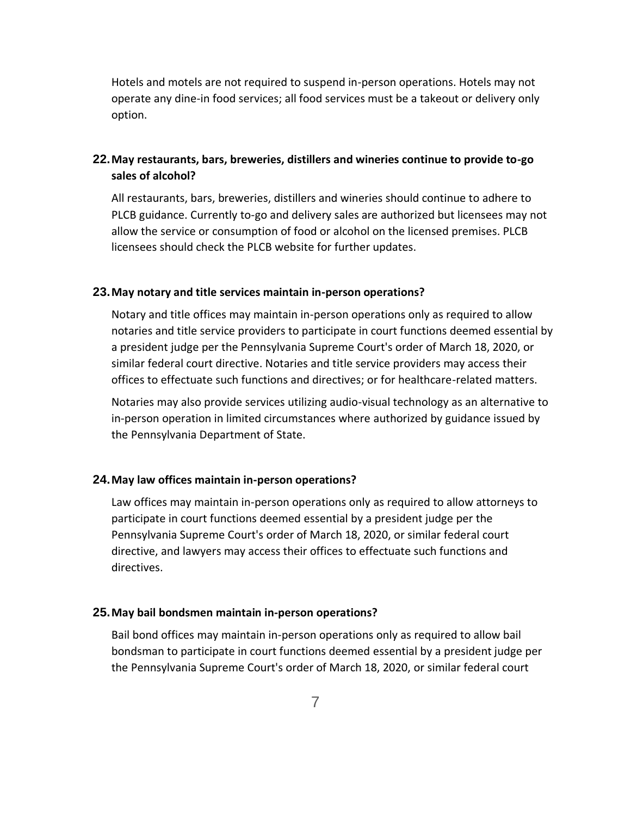Hotels and motels are not required to suspend in-person operations. Hotels may not operate any dine-in food services; all food services must be a takeout or delivery only option.

## **22.May restaurants, bars, breweries, distillers and wineries continue to provide to-go sales of alcohol?**

All restaurants, bars, breweries, distillers and wineries should continue to adhere to PLCB guidance. Currently to-go and delivery sales are authorized but licensees may not allow the service or consumption of food or alcohol on the licensed premises. PLCB licensees should check the PLCB website for further updates.

#### **23.May notary and title services maintain in-person operations?**

Notary and title offices may maintain in-person operations only as required to allow notaries and title service providers to participate in court functions deemed essential by a president judge per the Pennsylvania Supreme Court's order of March 18, 2020, or similar federal court directive. Notaries and title service providers may access their offices to effectuate such functions and directives; or for healthcare-related matters.

Notaries may also provide services utilizing audio-visual technology as an alternative to in-person operation in limited circumstances where authorized by guidance issued by the Pennsylvania Department of State.

#### **24.May law offices maintain in-person operations?**

Law offices may maintain in-person operations only as required to allow attorneys to participate in court functions deemed essential by a president judge per the Pennsylvania Supreme Court's order of March 18, 2020, or similar federal court directive, and lawyers may access their offices to effectuate such functions and directives.

#### **25.May bail bondsmen maintain in-person operations?**

Bail bond offices may maintain in-person operations only as required to allow bail bondsman to participate in court functions deemed essential by a president judge per the Pennsylvania Supreme Court's order of March 18, 2020, or similar federal court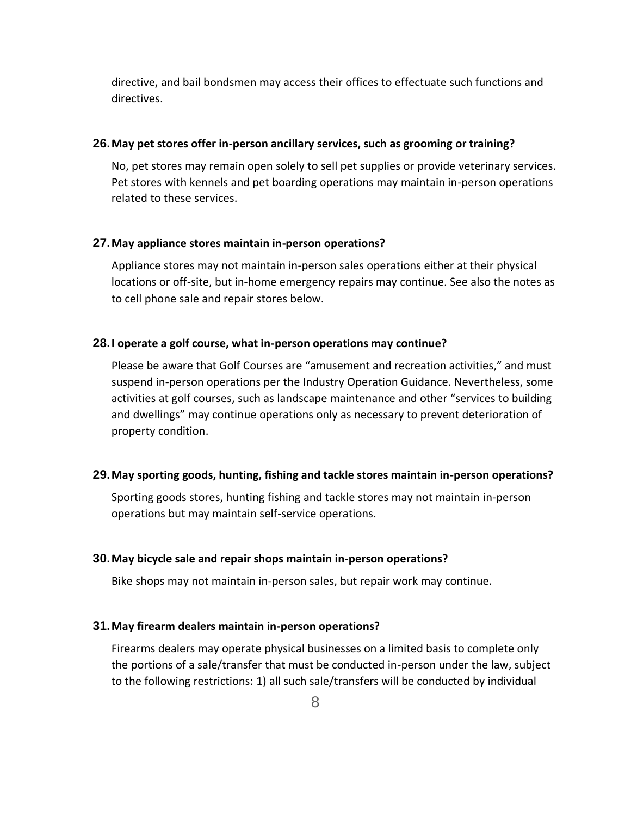directive, and bail bondsmen may access their offices to effectuate such functions and directives.

#### **26.May pet stores offer in-person ancillary services, such as grooming or training?**

No, pet stores may remain open solely to sell pet supplies or provide veterinary services. Pet stores with kennels and pet boarding operations may maintain in-person operations related to these services.

#### **27.May appliance stores maintain in-person operations?**

Appliance stores may not maintain in-person sales operations either at their physical locations or off-site, but in-home emergency repairs may continue. See also the notes as to cell phone sale and repair stores below.

### **28.I operate a golf course, what in-person operations may continue?**

Please be aware that Golf Courses are "amusement and recreation activities," and must suspend in-person operations per the Industry Operation Guidance. Nevertheless, some activities at golf courses, such as landscape maintenance and other "services to building and dwellings" may continue operations only as necessary to prevent deterioration of property condition.

#### **29.May sporting goods, hunting, fishing and tackle stores maintain in-person operations?**

Sporting goods stores, hunting fishing and tackle stores may not maintain in-person operations but may maintain self-service operations.

#### **30.May bicycle sale and repair shops maintain in-person operations?**

Bike shops may not maintain in-person sales, but repair work may continue.

#### **31.May firearm dealers maintain in-person operations?**

Firearms dealers may operate physical businesses on a limited basis to complete only the portions of a sale/transfer that must be conducted in-person under the law, subject to the following restrictions: 1) all such sale/transfers will be conducted by individual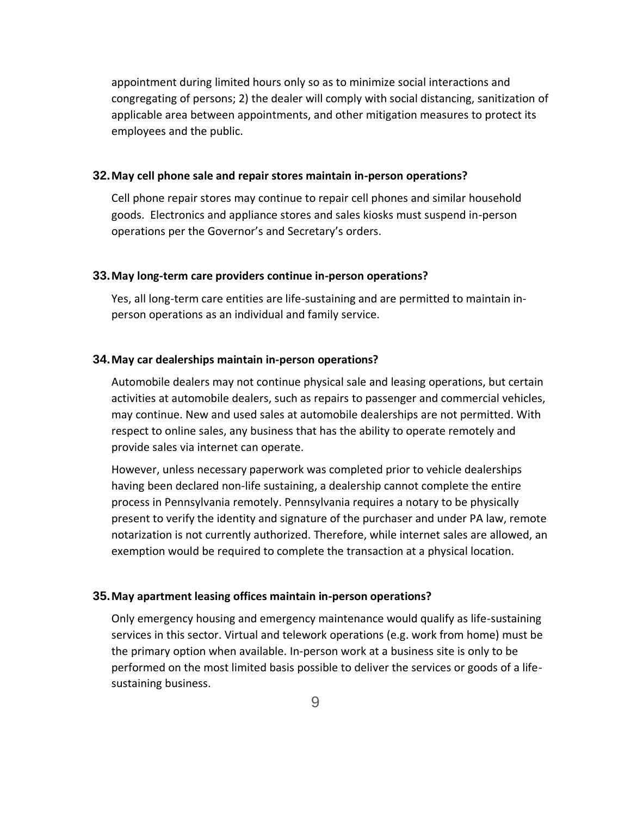appointment during limited hours only so as to minimize social interactions and congregating of persons; 2) the dealer will comply with social distancing, sanitization of applicable area between appointments, and other mitigation measures to protect its employees and the public.

#### **32.May cell phone sale and repair stores maintain in-person operations?**

Cell phone repair stores may continue to repair cell phones and similar household goods. Electronics and appliance stores and sales kiosks must suspend in-person operations per the Governor's and Secretary's orders.

#### **33.May long-term care providers continue in-person operations?**

Yes, all long-term care entities are life-sustaining and are permitted to maintain inperson operations as an individual and family service.

### **34.May car dealerships maintain in-person operations?**

Automobile dealers may not continue physical sale and leasing operations, but certain activities at automobile dealers, such as repairs to passenger and commercial vehicles, may continue. New and used sales at automobile dealerships are not permitted. With respect to online sales, any business that has the ability to operate remotely and provide sales via internet can operate.

However, unless necessary paperwork was completed prior to vehicle dealerships having been declared non-life sustaining, a dealership cannot complete the entire process in Pennsylvania remotely. Pennsylvania requires a notary to be physically present to verify the identity and signature of the purchaser and under PA law, remote notarization is not currently authorized. Therefore, while internet sales are allowed, an exemption would be required to complete the transaction at a physical location.

#### **35.May apartment leasing offices maintain in-person operations?**

Only emergency housing and emergency maintenance would qualify as life-sustaining services in this sector. Virtual and telework operations (e.g. work from home) must be the primary option when available. In-person work at a business site is only to be performed on the most limited basis possible to deliver the services or goods of a lifesustaining business.